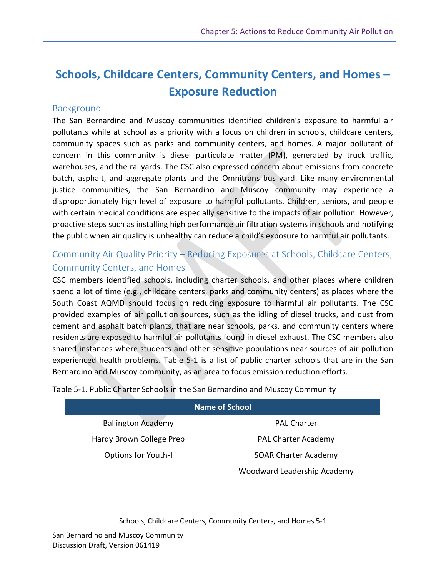# **Schools, Childcare Centers, Community Centers, and Homes – Exposure Reduction**

# **Background**

The San Bernardino and Muscoy communities identified children's exposure to harmful air pollutants while at school as a priority with a focus on children in schools, childcare centers, community spaces such as parks and community centers, and homes. A major pollutant of concern in this community is diesel particulate matter (PM), generated by truck traffic, warehouses, and the railyards. The CSC also expressed concern about emissions from concrete batch, asphalt, and aggregate plants and the Omnitrans bus yard. Like many environmental justice communities, the San Bernardino and Muscoy community may experience a disproportionately high level of exposure to harmful pollutants. Children, seniors, and people with certain medical conditions are especially sensitive to the impacts of air pollution. However, proactive steps such as installing high performance air filtration systems in schools and notifying the public when air quality is unhealthy can reduce a child's exposure to harmful air pollutants.

# Community Air Quality Priority – Reducing Exposures at Schools, Childcare Centers, Community Centers, and Homes

CSC members identified schools, including charter schools, and other places where children spend a lot of time (e.g., childcare centers, parks and community centers) as places where the South Coast AQMD should focus on reducing exposure to harmful air pollutants. The CSC provided examples of air pollution sources, such as the idling of diesel trucks, and dust from cement and asphalt batch plants, that are near schools, parks, and community centers where residents are exposed to harmful air pollutants found in diesel exhaust. The CSC members also shared instances where students and other sensitive populations near sources of air pollution experienced health problems. Table 5-1 is a list of public charter schools that are in the San Bernardino and Muscoy community, as an area to focus emission reduction efforts.

| <b>Name of School</b>      |                             |  |  |
|----------------------------|-----------------------------|--|--|
| <b>Ballington Academy</b>  | <b>PAL Charter</b>          |  |  |
| Hardy Brown College Prep   | <b>PAL Charter Academy</b>  |  |  |
| <b>Options for Youth-I</b> | <b>SOAR Charter Academy</b> |  |  |
|                            | Woodward Leadership Academy |  |  |

Table 5-1. Public Charter Schools in the San Bernardino and Muscoy Community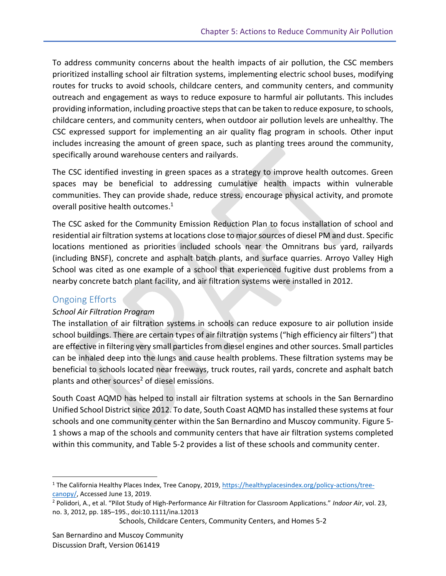To address community concerns about the health impacts of air pollution, the CSC members prioritized installing school air filtration systems, implementing electric school buses, modifying routes for trucks to avoid schools, childcare centers, and community centers, and community outreach and engagement as ways to reduce exposure to harmful air pollutants. This includes providing information, including proactive steps that can be taken to reduce exposure, to schools, childcare centers, and community centers, when outdoor air pollution levels are unhealthy. The CSC expressed support for implementing an air quality flag program in schools. Other input includes increasing the amount of green space, such as planting trees around the community, specifically around warehouse centers and railyards.

The CSC identified investing in green spaces as a strategy to improve health outcomes. Green spaces may be beneficial to addressing cumulative health impacts within vulnerable communities. They can provide shade, reduce stress, encourage physical activity, and promote overall positive health outcomes. 1

The CSC asked for the Community Emission Reduction Plan to focus installation of school and residential air filtration systems at locations close to major sources of diesel PM and dust. Specific locations mentioned as priorities included schools near the Omnitrans bus yard, railyards (including BNSF), concrete and asphalt batch plants, and surface quarries. Arroyo Valley High School was cited as one example of a school that experienced fugitive dust problems from a nearby concrete batch plant facility, and air filtration systems were installed in 2012.

## Ongoing Efforts

 $\overline{\phantom{a}}$ 

#### *School Air Filtration Program*

The installation of air filtration systems in schools can reduce exposure to air pollution inside school buildings. There are certain types of air filtration systems ("high efficiency air filters") that are effective in filtering very small particles from diesel engines and other sources. Small particles can be inhaled deep into the lungs and cause health problems. These filtration systems may be beneficial to schools located near freeways, truck routes, rail yards, concrete and asphalt batch plants and other sources<sup>2</sup> of diesel emissions.

South Coast AQMD has helped to install air filtration systems at schools in the San Bernardino Unified School District since 2012. To date, South Coast AQMD has installed these systems at four schools and one community center within the San Bernardino and Muscoy community. Figure 5- 1 shows a map of the schools and community centers that have air filtration systems completed within this community, and Table 5-2 provides a list of these schools and community center.

<sup>1</sup> The California Healthy Places Index, Tree Canopy, 2019, [https://healthyplacesindex.org/policy-actions/tree](https://healthyplacesindex.org/policy-actions/tree-canopy/)[canopy/,](https://healthyplacesindex.org/policy-actions/tree-canopy/) Accessed June 13, 2019.

<sup>2</sup> Polidori, A., et al. "Pilot Study of High-Performance Air Filtration for Classroom Applications." *Indoor Air*, vol. 23, no. 3, 2012, pp. 185–195., doi:10.1111/ina.12013

Schools, Childcare Centers, Community Centers, and Homes 5-2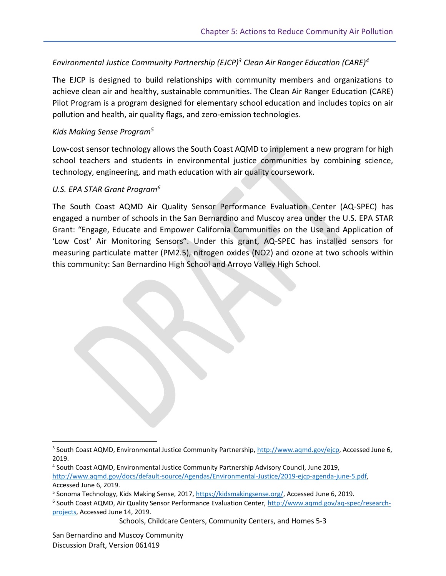### *Environmental Justice Community Partnership (EJCP)<sup>3</sup> Clean Air Ranger Education (CARE)<sup>4</sup>*

The EJCP is designed to build relationships with community members and organizations to achieve clean air and healthy, sustainable communities. The Clean Air Ranger Education (CARE) Pilot Program is a program designed for elementary school education and includes topics on air pollution and health, air quality flags, and zero-emission technologies.

#### *Kids Making Sense Program<sup>5</sup>*

Low-cost sensor technology allows the South Coast AQMD to implement a new program for high school teachers and students in environmental justice communities by combining science, technology, engineering, and math education with air quality coursework.

#### *U.S. EPA STAR Grant Program<sup>6</sup>*

The South Coast AQMD Air Quality Sensor Performance Evaluation Center (AQ-SPEC) has engaged a number of schools in the San Bernardino and Muscoy area under the U.S. EPA STAR Grant: "Engage, Educate and Empower California Communities on the Use and Application of 'Low Cost' Air Monitoring Sensors". Under this grant, AQ-SPEC has installed sensors for measuring particulate matter (PM2.5), nitrogen oxides (NO2) and ozone at two schools within this community: San Bernardino High School and Arroyo Valley High School.

Schools, Childcare Centers, Community Centers, and Homes 5-3

 $\overline{\phantom{a}}$ 

<sup>&</sup>lt;sup>3</sup> South Coast AQMD, Environmental Justice Community Partnership, [http://www.aqmd.gov/ejcp,](http://www.aqmd.gov/ejcp) Accessed June 6, 2019.

<sup>4</sup> South Coast AQMD, Environmental Justice Community Partnership Advisory Council, June 2019, [http://www.aqmd.gov/docs/default-source/Agendas/Environmental-Justice/2019-ejcp-agenda-june-5.pdf,](http://www.aqmd.gov/docs/default-source/Agendas/Environmental-Justice/2019-ejcp-agenda-june-5.pdf) Accessed June 6, 2019.

<sup>&</sup>lt;sup>5</sup> Sonoma Technology, Kids Making Sense, 2017, <u>https://kidsmakingsense.org/</u>, Accessed June 6, 2019.

<sup>&</sup>lt;sup>6</sup> South Coast AQMD, Air Quality Sensor Performance Evaluation Center, [http://www.aqmd.gov/aq-spec/research](http://www.aqmd.gov/aq-spec/research-projects)[projects,](http://www.aqmd.gov/aq-spec/research-projects) Accessed June 14, 2019.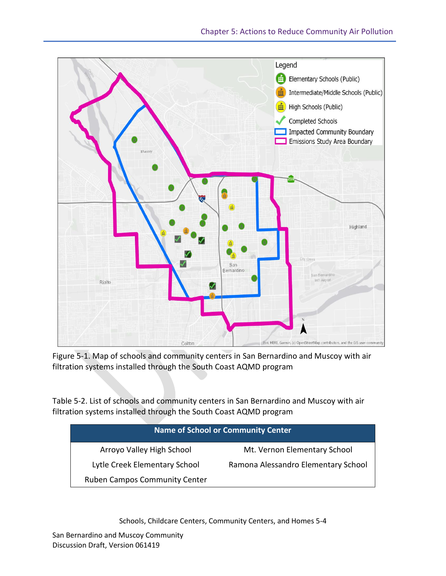

Figure 5-1. Map of schools and community centers in San Bernardino and Muscoy with air filtration systems installed through the South Coast AQMD program

Table 5-2. List of schools and community centers in San Bernardino and Muscoy with air filtration systems installed through the South Coast AQMD program

|                                      | <b>Name of School or Community Center</b> |
|--------------------------------------|-------------------------------------------|
| Arroyo Valley High School            | Mt. Vernon Elementary School              |
| Lytle Creek Elementary School        | Ramona Alessandro Elementary School       |
| <b>Ruben Campos Community Center</b> |                                           |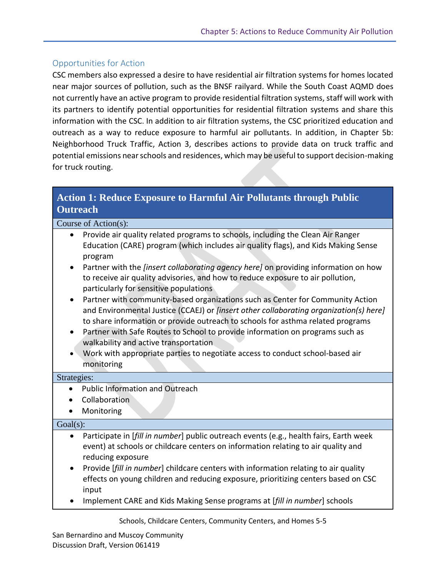### Opportunities for Action

CSC members also expressed a desire to have residential air filtration systems for homes located near major sources of pollution, such as the BNSF railyard. While the South Coast AQMD does not currently have an active program to provide residential filtration systems, staff will work with its partners to identify potential opportunities for residential filtration systems and share this information with the CSC. In addition to air filtration systems, the CSC prioritized education and outreach as a way to reduce exposure to harmful air pollutants. In addition, in Chapter 5b: Neighborhood Truck Traffic, Action 3, describes actions to provide data on truck traffic and potential emissions near schools and residences, which may be useful to support decision-making for truck routing.

# **Action 1: Reduce Exposure to Harmful Air Pollutants through Public Outreach**

Course of Action(s):

- Provide air quality related programs to schools, including the Clean Air Ranger Education (CARE) program (which includes air quality flags), and Kids Making Sense program
- Partner with the *[insert collaborating agency here]* on providing information on how to receive air quality advisories, and how to reduce exposure to air pollution, particularly for sensitive populations
- Partner with community-based organizations such as Center for Community Action and Environmental Justice (CCAEJ) or *[insert other collaborating organization(s) here]* to share information or provide outreach to schools for asthma related programs
- Partner with Safe Routes to School to provide information on programs such as walkability and active transportation
- Work with appropriate parties to negotiate access to conduct school-based air monitoring

#### Strategies:

- Public Information and Outreach
- **•** Collaboration
- Monitoring

#### Goal(s):

- Participate in [*fill in number*] public outreach events (e.g., health fairs, Earth week event) at schools or childcare centers on information relating to air quality and reducing exposure
- Provide [*fill in number*] childcare centers with information relating to air quality effects on young children and reducing exposure, prioritizing centers based on CSC input
- Implement CARE and Kids Making Sense programs at [*fill in number*] schools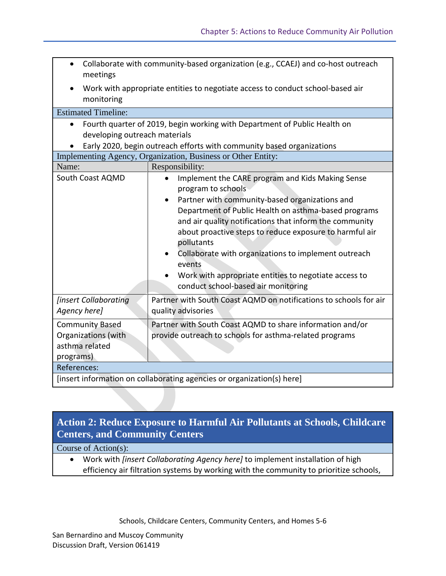| $\bullet$<br>meetings                                                        | Collaborate with community-based organization (e.g., CCAEJ) and co-host outreach                                                                                                                                                                                                                                                                                                                                                                                                       |  |  |
|------------------------------------------------------------------------------|----------------------------------------------------------------------------------------------------------------------------------------------------------------------------------------------------------------------------------------------------------------------------------------------------------------------------------------------------------------------------------------------------------------------------------------------------------------------------------------|--|--|
| $\bullet$<br>monitoring                                                      | Work with appropriate entities to negotiate access to conduct school-based air                                                                                                                                                                                                                                                                                                                                                                                                         |  |  |
| <b>Estimated Timeline:</b>                                                   |                                                                                                                                                                                                                                                                                                                                                                                                                                                                                        |  |  |
| $\bullet$                                                                    | Fourth quarter of 2019, begin working with Department of Public Health on<br>developing outreach materials<br>Early 2020, begin outreach efforts with community based organizations                                                                                                                                                                                                                                                                                                    |  |  |
| Implementing Agency, Organization, Business or Other Entity:                 |                                                                                                                                                                                                                                                                                                                                                                                                                                                                                        |  |  |
| Name:                                                                        | Responsibility:                                                                                                                                                                                                                                                                                                                                                                                                                                                                        |  |  |
| South Coast AQMD                                                             | Implement the CARE program and Kids Making Sense<br>program to schools<br>Partner with community-based organizations and<br>Department of Public Health on asthma-based programs<br>and air quality notifications that inform the community<br>about proactive steps to reduce exposure to harmful air<br>pollutants<br>Collaborate with organizations to implement outreach<br>events<br>Work with appropriate entities to negotiate access to<br>conduct school-based air monitoring |  |  |
| <b>[insert Collaborating</b><br>Agency here]                                 | Partner with South Coast AQMD on notifications to schools for air<br>quality advisories                                                                                                                                                                                                                                                                                                                                                                                                |  |  |
| <b>Community Based</b><br>Organizations (with<br>asthma related<br>programs) | Partner with South Coast AQMD to share information and/or<br>provide outreach to schools for asthma-related programs                                                                                                                                                                                                                                                                                                                                                                   |  |  |
| References:                                                                  |                                                                                                                                                                                                                                                                                                                                                                                                                                                                                        |  |  |
| [insert information on collaborating agencies or organization(s) here]       |                                                                                                                                                                                                                                                                                                                                                                                                                                                                                        |  |  |

# **Action 2: Reduce Exposure to Harmful Air Pollutants at Schools, Childcare Centers, and Community Centers**

Course of Action(s):

 Work with *[insert Collaborating Agency here]* to implement installation of high efficiency air filtration systems by working with the community to prioritize schools,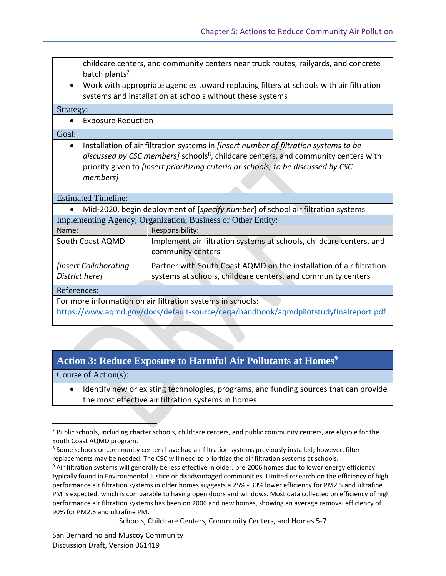childcare centers, and community centers near truck routes, railyards, and concrete batch plants<sup>7</sup>

 Work with appropriate agencies toward replacing filters at schools with air filtration systems and installation at schools without these systems

Strategy:

Exposure Reduction

#### Goal:

 Installation of air filtration systems in *[insert number of filtration systems to be*  discussed by *CSC* members] schools<sup>8</sup>, childcare centers, and community centers with priority given to *[insert prioritizing criteria or schools, to be discussed by CSC members]*

Estimated Timeline:

|  | Mid-2020, begin deployment of [specify number] of school air filtration systems |  |  |  |
|--|---------------------------------------------------------------------------------|--|--|--|
|  | Implementing Agency, Organization, Business or Other Entity:                    |  |  |  |

| Name:                                                      | Responsibility:                                                                                                                     |
|------------------------------------------------------------|-------------------------------------------------------------------------------------------------------------------------------------|
| South Coast AQMD                                           | Implement air filtration systems at schools, childcare centers, and<br>community centers                                            |
| <i><b>[insert Collaborating</b></i><br>District here]      | Partner with South Coast AQMD on the installation of air filtration<br>systems at schools, childcare centers, and community centers |
| References:                                                |                                                                                                                                     |
| For more information on air filtration systems in schools: |                                                                                                                                     |

<https://www.aqmd.gov/docs/default-source/ceqa/handbook/aqmdpilotstudyfinalreport.pdf>

# **Action 3: Reduce Exposure to Harmful Air Pollutants at Homes<sup>9</sup>**

Course of Action(s):

l

• Identify new or existing technologies, programs, and funding sources that can provide the most effective air filtration systems in homes

Schools, Childcare Centers, Community Centers, and Homes 5-7

San Bernardino and Muscoy Community Discussion Draft, Version 061419

 $7$  Public schools, including charter schools, childcare centers, and public community centers, are eligible for the South Coast AQMD program.

<sup>&</sup>lt;sup>8</sup> Some schools or community centers have had air filtration systems previously installed; however, filter replacements may be needed. The CSC will need to prioritize the air filtration systems at schools.

<sup>&</sup>lt;sup>9</sup> Air filtration systems will generally be less effective in older, pre-2006 homes due to lower energy efficiency typically found in Environmental Justice or disadvantaged communities. Limited research on the efficiency of high performance air filtration systems in older homes suggests a 25% - 30% lower efficiency for PM2.5 and ultrafine PM is expected, which is comparable to having open doors and windows. Most data collected on efficiency of high performance air filtration systems has been on 2006 and new homes, showing an average removal efficiency of 90% for PM2.5 and ultrafine PM.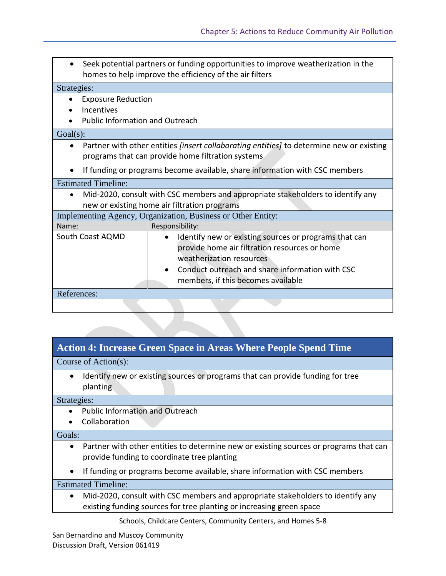|                                                              |                                                                                                                                                      | Seek potential partners or funding opportunities to improve weatherization in the<br>homes to help improve the efficiency of the air filters |  |
|--------------------------------------------------------------|------------------------------------------------------------------------------------------------------------------------------------------------------|----------------------------------------------------------------------------------------------------------------------------------------------|--|
| Strategies:                                                  |                                                                                                                                                      |                                                                                                                                              |  |
|                                                              | <b>Exposure Reduction</b>                                                                                                                            |                                                                                                                                              |  |
|                                                              | Incentives                                                                                                                                           |                                                                                                                                              |  |
|                                                              | <b>Public Information and Outreach</b>                                                                                                               |                                                                                                                                              |  |
| $Goal(s)$ :                                                  |                                                                                                                                                      |                                                                                                                                              |  |
|                                                              | Partner with other entities <i>[insert collaborating entities]</i> to determine new or existing<br>programs that can provide home filtration systems |                                                                                                                                              |  |
|                                                              | If funding or programs become available, share information with CSC members                                                                          |                                                                                                                                              |  |
|                                                              | <b>Estimated Timeline:</b>                                                                                                                           |                                                                                                                                              |  |
|                                                              |                                                                                                                                                      | Mid-2020, consult with CSC members and appropriate stakeholders to identify any                                                              |  |
| new or existing home air filtration programs                 |                                                                                                                                                      |                                                                                                                                              |  |
| Implementing Agency, Organization, Business or Other Entity: |                                                                                                                                                      |                                                                                                                                              |  |
| Name:                                                        |                                                                                                                                                      | Responsibility:                                                                                                                              |  |
|                                                              | South Coast AQMD                                                                                                                                     | Identify new or existing sources or programs that can                                                                                        |  |
|                                                              |                                                                                                                                                      | provide home air filtration resources or home                                                                                                |  |
|                                                              |                                                                                                                                                      | weatherization resources                                                                                                                     |  |
|                                                              |                                                                                                                                                      | Conduct outreach and share information with CSC                                                                                              |  |
|                                                              |                                                                                                                                                      | members, if this becomes available                                                                                                           |  |
| References:                                                  |                                                                                                                                                      |                                                                                                                                              |  |
|                                                              |                                                                                                                                                      |                                                                                                                                              |  |

## **Action 4: Increase Green Space in Areas Where People Spend Time**

Course of Action(s):

• Identify new or existing sources or programs that can provide funding for tree planting

Strategies:

- Public Information and Outreach
- Collaboration

#### Goals:

- Partner with other entities to determine new or existing sources or programs that can provide funding to coordinate tree planting
- If funding or programs become available, share information with CSC members

Estimated Timeline:

 Mid-2020, consult with CSC members and appropriate stakeholders to identify any existing funding sources for tree planting or increasing green space